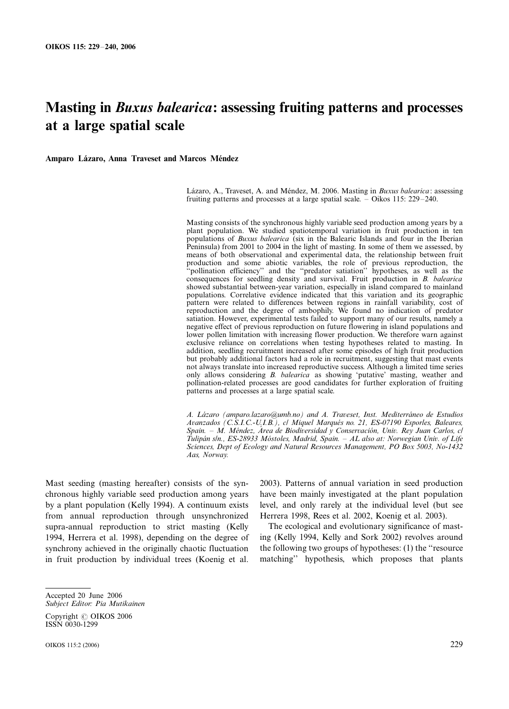# Masting in Buxus balearica: assessing fruiting patterns and processes at a large spatial scale

Amparo Lázaro, Anna Traveset and Marcos Méndez

Lázaro, A., Traveset, A. and Méndez, M. 2006. Masting in *Buxus balearica*: assessing fruiting patterns and processes at a large spatial scale.  $-$  Oikos 115: 229-240.

Masting consists of the synchronous highly variable seed production among years by a plant population. We studied spatiotemporal variation in fruit production in ten populations of *Buxus balearica* (six in the Balearic Islands and four in the Iberian Peninsula) from 2001 to 2004 in the light of masting. In some of them we assessed, by means of both observational and experimental data, the relationship between fruit production and some abiotic variables, the role of previous reproduction, the ''pollination efficiency'' and the ''predator satiation'' hypotheses, as well as the consequences for seedling density and survival. Fruit production in B. balearica showed substantial between-year variation, especially in island compared to mainland populations. Correlative evidence indicated that this variation and its geographic pattern were related to differences between regions in rainfall variability, cost of reproduction and the degree of ambophily. We found no indication of predator satiation. However, experimental tests failed to support many of our results, namely a negative effect of previous reproduction on future flowering in island populations and lower pollen limitation with increasing flower production. We therefore warn against exclusive reliance on correlations when testing hypotheses related to masting. In addition, seedling recruitment increased after some episodes of high fruit production but probably additional factors had a role in recruitment, suggesting that mast events not always translate into increased reproductive success. Although a limited time series only allows considering B. balearica as showing 'putative' masting, weather and pollination-related processes are good candidates for further exploration of fruiting patterns and processes at a large spatial scale.

A. Lázaro (amparo.lazaro@umb.no) and A. Traveset, Inst. Mediterráneo de Estudios Avanzados  $(C.S.I.C.-U.I.B.)$ , cl Miquel Marqués no. 21, ES-07190 Esporles, Baleares, Spain. - M. Méndez, Área de Biodiversidad y Conservación, Univ. Rey Juan Carlos, cl Tulipán sln., ES-28933 Móstoles, Madrid, Spain. - AL also at: Norwegian Univ. of Life Sciences, Dept of Ecology and Natural Resources Management, PO Box 5003, No-1432 Aas, Norway.

Mast seeding (masting hereafter) consists of the synchronous highly variable seed production among years by a plant population (Kelly 1994). A continuum exists from annual reproduction through unsynchronized supra-annual reproduction to strict masting (Kelly 1994, Herrera et al. 1998), depending on the degree of synchrony achieved in the originally chaotic fluctuation in fruit production by individual trees (Koenig et al.

2003). Patterns of annual variation in seed production have been mainly investigated at the plant population level, and only rarely at the individual level (but see Herrera 1998, Rees et al. 2002, Koenig et al. 2003).

The ecological and evolutionary significance of masting (Kelly 1994, Kelly and Sork 2002) revolves around the following two groups of hypotheses: (1) the ''resource matching'' hypothesis, which proposes that plants

Accepted 20 June 2006 Subject Editor: Pia Mutikainen

Copyright © OIKOS 2006 ISSN 0030-1299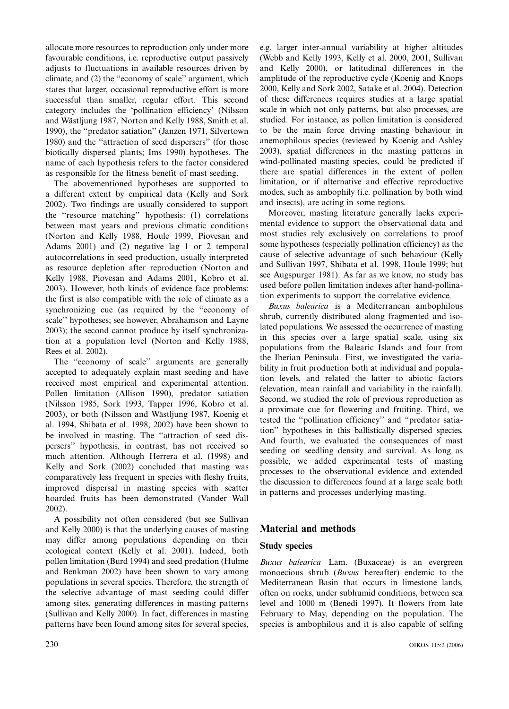allocate more resources to reproduction only under more favourable conditions, i.e. reproductive output passively adjusts to fluctuations in available resources driven by climate, and (2) the ''economy of scale'' argument, which states that larger, occasional reproductive effort is more successful than smaller, regular effort. This second category includes the 'pollination efficiency' (Nilsson and Wästljung 1987, Norton and Kelly 1988, Smith et al. 1990), the ''predator satiation'' (Janzen 1971, Silvertown 1980) and the ''attraction of seed dispersers'' (for those biotically dispersed plants; Ims 1990) hypotheses. The name of each hypothesis refers to the factor considered as responsible for the fitness benefit of mast seeding.

The abovementioned hypotheses are supported to a different extent by empirical data (Kelly and Sork 2002). Two findings are usually considered to support the ''resource matching'' hypothesis: (1) correlations between mast years and previous climatic conditions (Norton and Kelly 1988, Houle 1999, Piovesan and Adams 2001) and (2) negative lag 1 or 2 temporal autocorrelations in seed production, usually interpreted as resource depletion after reproduction (Norton and Kelly 1988, Piovesan and Adams 2001, Kobro et al. 2003). However, both kinds of evidence face problems: the first is also compatible with the role of climate as a synchronizing cue (as required by the ''economy of scale'' hypotheses; see however, Abrahamson and Layne 2003); the second cannot produce by itself synchronization at a population level (Norton and Kelly 1988, Rees et al. 2002).

The ''economy of scale'' arguments are generally accepted to adequately explain mast seeding and have received most empirical and experimental attention. Pollen limitation (Allison 1990), predator satiation (Nilsson 1985, Sork 1993, Tapper 1996, Kobro et al. 2003), or both (Nilsson and Wästljung 1987, Koenig et al. 1994, Shibata et al. 1998, 2002) have been shown to be involved in masting. The ''attraction of seed dispersers'' hypothesis, in contrast, has not received so much attention. Although Herrera et al. (1998) and Kelly and Sork (2002) concluded that masting was comparatively less frequent in species with fleshy fruits, improved dispersal in masting species with scatter hoarded fruits has been demonstrated (Vander Wall 2002).

A possibility not often considered (but see Sullivan and Kelly 2000) is that the underlying causes of masting may differ among populations depending on their ecological context (Kelly et al. 2001). Indeed, both pollen limitation (Burd 1994) and seed predation (Hulme and Benkman 2002) have been shown to vary among populations in several species. Therefore, the strength of the selective advantage of mast seeding could differ among sites, generating differences in masting patterns (Sullivan and Kelly 2000). In fact, differences in masting patterns have been found among sites for several species, e.g. larger inter-annual variability at higher altitudes (Webb and Kelly 1993, Kelly et al. 2000, 2001, Sullivan and Kelly 2000), or latitudinal differences in the amplitude of the reproductive cycle (Koenig and Knops 2000, Kelly and Sork 2002, Satake et al. 2004). Detection of these differences requires studies at a large spatial scale in which not only patterns, but also processes, are studied. For instance, as pollen limitation is considered to be the main force driving masting behaviour in anemophilous species (reviewed by Koenig and Ashley 2003), spatial differences in the masting patterns in wind-pollinated masting species, could be predicted if there are spatial differences in the extent of pollen limitation, or if alternative and effective reproductive modes, such as ambophily (i.e. pollination by both wind and insects), are acting in some regions.

Moreover, masting literature generally lacks experimental evidence to support the observational data and most studies rely exclusively on correlations to proof some hypotheses (especially pollination efficiency) as the cause of selective advantage of such behaviour (Kelly and Sullivan 1997, Shibata et al. 1998, Houle 1999; but see Augspurger 1981). As far as we know, no study has used before pollen limitation indexes after hand-pollination experiments to support the correlative evidence.

Buxus balearica is a Mediterranean ambophilous shrub, currently distributed along fragmented and isolated populations. We assessed the occurrence of masting in this species over a large spatial scale, using six populations from the Balearic Islands and four from the Iberian Peninsula. First, we investigated the variability in fruit production both at individual and population levels, and related the latter to abiotic factors (elevation, mean rainfall and variability in the rainfall). Second, we studied the role of previous reproduction as a proximate cue for flowering and fruiting. Third, we tested the ''pollination efficiency'' and ''predator satiation'' hypotheses in this ballistically dispersed species. And fourth, we evaluated the consequences of mast seeding on seedling density and survival. As long as possible, we added experimental tests of masting processes to the observational evidence and extended the discussion to differences found at a large scale both in patterns and processes underlying masting.

# Material and methods

# Study species

Buxus balearica Lam. (Buxaceae) is an evergreen monoecious shrub (Buxus hereafter) endemic to the Mediterranean Basin that occurs in limestone lands, often on rocks, under subhumid conditions, between sea level and 1000 m (Benedí 1997). It flowers from late February to May, depending on the population. The species is ambophilous and it is also capable of selfing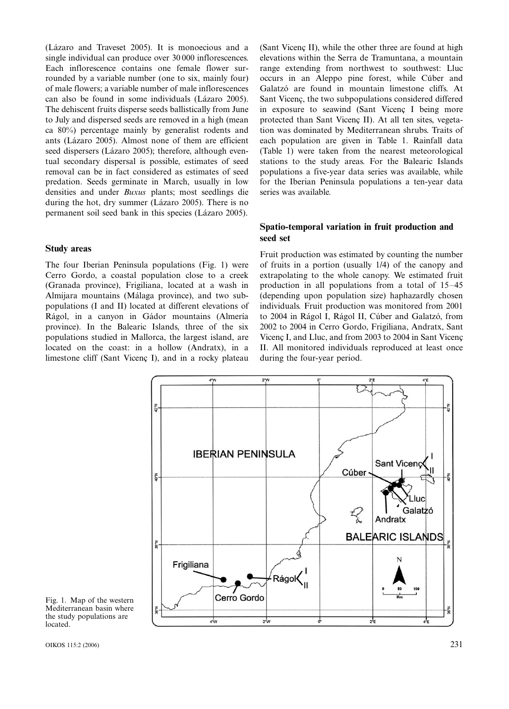(Lázaro and Traveset 2005). It is monoecious and a single individual can produce over 30 000 inflorescences. Each inflorescence contains one female flower surrounded by a variable number (one to six, mainly four) of male flowers; a variable number of male inflorescences can also be found in some individuals (Lázaro 2005). The dehiscent fruits disperse seeds ballistically from June to July and dispersed seeds are removed in a high (mean ca 80%) percentage mainly by generalist rodents and ants (Lázaro 2005). Almost none of them are efficient seed dispersers (Lázaro 2005); therefore, although eventual secondary dispersal is possible, estimates of seed removal can be in fact considered as estimates of seed predation. Seeds germinate in March, usually in low densities and under Buxus plants; most seedlings die during the hot, dry summer (Lázaro 2005). There is no permanent soil seed bank in this species (Lázaro 2005).

### Study areas

The four Iberian Peninsula populations (Fig. 1) were Cerro Gordo, a coastal population close to a creek (Granada province), Frigiliana, located at a wash in Almijara mountains (Málaga province), and two subpopulations (I and II) located at different elevations of Rágol, in a canyon in Gádor mountains (Almería province). In the Balearic Islands, three of the six populations studied in Mallorca, the largest island, are located on the coast: in a hollow (Andratx), in a limestone cliff (Sant Vicenc I), and in a rocky plateau

(Sant Vicenc II), while the other three are found at high elevations within the Serra de Tramuntana, a mountain range extending from northwest to southwest: Lluc occurs in an Aleppo pine forest, while Cúber and Galatzó are found in mountain limestone cliffs. At Sant Vicenc, the two subpopulations considered differed in exposure to seawind (Sant Vicenç I being more protected than Sant Vicenç II). At all ten sites, vegetation was dominated by Mediterranean shrubs. Traits of each population are given in Table 1. Rainfall data (Table 1) were taken from the nearest meteorological stations to the study areas. For the Balearic Islands populations a five-year data series was available, while for the Iberian Peninsula populations a ten-year data series was available.

# Spatio-temporal variation in fruit production and seed set

Fruit production was estimated by counting the number of fruits in a portion (usually 1/4) of the canopy and extrapolating to the whole canopy. We estimated fruit production in all populations from a total of  $15-45$ (depending upon population size) haphazardly chosen individuals. Fruit production was monitored from 2001 to 2004 in Rágol I, Rágol II, Cúber and Galatzó, from 2002 to 2004 in Cerro Gordo, Frigiliana, Andratx, Sant Vicenc I, and Lluc, and from 2003 to 2004 in Sant Vicenc II. All monitored individuals reproduced at least once during the four-year period.



Fig. 1. Map of the western Mediterranean basin where the study populations are located.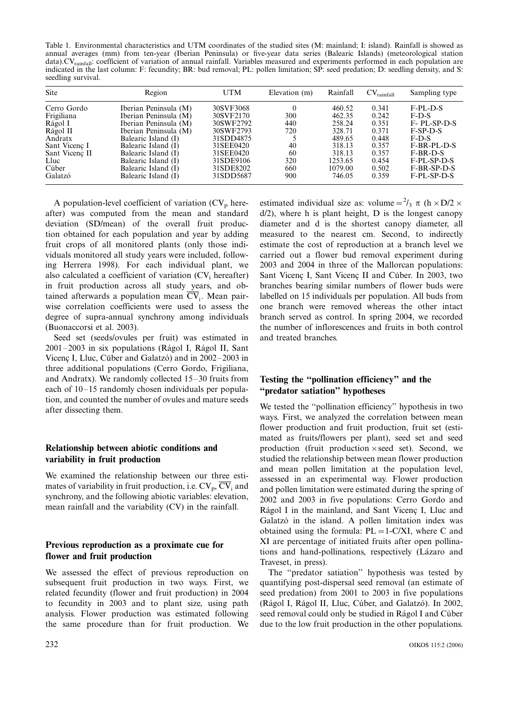Table 1. Environmental characteristics and UTM coordinates of the studied sites (M: mainland; I: island). Rainfall is showed as annual averages (mm) from ten-year (Iberian Peninsula) or five-year data series (Balearic Islands) (meteorological station data).CV<sub>rainfall</sub>: coefficient of variation of annual rainfall. Variables measured and experiments performed in each population are<br>indicated in the last column: F: fecundity; BR: bud removal; PL: pollen limitation; SP: s seedling survival.

| Site           | Region                | UTM       | Elevation (m) | Rainfall | CV <sub>rainfall</sub> | Sampling type |
|----------------|-----------------------|-----------|---------------|----------|------------------------|---------------|
| Cerro Gordo    | Iberian Peninsula (M) | 30SVF3068 | $\Omega$      | 460.52   | 0.341                  | $F-PI$ $-D-S$ |
| Frigiliana     | Iberian Peninsula (M) | 30SVF2170 | 300           | 462.35   | 0.242                  | $F-D-S$       |
| Rágol I        | Iberian Peninsula (M) | 30SWF2792 | 440           | 258.24   | 0.351                  | F-PL-SP-D-S   |
| Rágol II       | Iberian Peninsula (M) | 30SWF2793 | 720           | 328.71   | 0.371                  | $F-SP-D-S$    |
| Andratx        | Balearic Island (I)   | 31SDD4875 |               | 489.65   | 0.448                  | $F-D-S$       |
| Sant Vicenç I  | Balearic Island (I)   | 31SEE0420 | 40            | 318.13   | 0.357                  | $F-BR-PL-D-S$ |
| Sant Vicenç II | Balearic Island (I)   | 31SEE0420 | 60            | 318.13   | 0.357                  | F-BR-D-S      |
| Lluc           | Balearic Island (I)   | 31SDE9106 | 320           | 1253.65  | 0.454                  | F-PL-SP-D-S   |
| Cúber          | Balearic Island (I)   | 31SDE8202 | 660           | 1079.00  | 0.502                  | F-BR-SP-D-S   |
| Galatzó        | Balearic Island (I)   | 31SDD5687 | 900           | 746.05   | 0.359                  | F-PL-SP-D-S   |

A population-level coefficient of variation  $(CV_p)$  hereafter) was computed from the mean and standard deviation (SD/mean) of the overall fruit production obtained for each population and year by adding fruit crops of all monitored plants (only those individuals monitored all study years were included, following Herrera 1998). For each individual plant, we also calculated a coefficient of variation  $(CV<sub>i</sub> hereafter)$ in fruit production across all study years, and obtained afterwards a population mean CV<sub>i</sub>. Mean pairwise correlation coefficients were used to assess the degree of supra-annual synchrony among individuals (Buonaccorsi et al. 2003).

Seed set (seeds/ovules per fruit) was estimated in  $2001-2003$  in six populations (Rágol I, Rágol II, Sant Vicenc I, Lluc, Cúber and Galatzó) and in 2002-2003 in three additional populations (Cerro Gordo, Frigiliana, and Andratx). We randomly collected  $15-30$  fruits from each of  $10-15$  randomly chosen individuals per population, and counted the number of ovules and mature seeds after dissecting them.

# Relationship between abiotic conditions and variability in fruit production

We examined the relationship between our three estimates of variability in fruit production, i.e.  $CV_p$ ,  $\overline{CV}_i$  and synchrony, and the following abiotic variables: elevation, mean rainfall and the variability (CV) in the rainfall.

# Previous reproduction as a proximate cue for flower and fruit production

We assessed the effect of previous reproduction on subsequent fruit production in two ways. First, we related fecundity (flower and fruit production) in 2004 to fecundity in 2003 and to plant size, using path analysis. Flower production was estimated following the same procedure than for fruit production. We

estimated individual size as: volume =  $\frac{2}{3} \pi$  (h × D/2 × d/2), where h is plant height, D is the longest canopy diameter and d is the shortest canopy diameter, all measured to the nearest cm. Second, to indirectly estimate the cost of reproduction at a branch level we carried out a flower bud removal experiment during 2003 and 2004 in three of the Mallorcan populations: Sant Vicenç I, Sant Vicenç II and Cúber. In 2003, two branches bearing similar numbers of flower buds were labelled on 15 individuals per population. All buds from one branch were removed whereas the other intact branch served as control. In spring 2004, we recorded the number of inflorescences and fruits in both control and treated branches.

# Testing the ''pollination efficiency'' and the ''predator satiation'' hypotheses

We tested the ''pollination efficiency'' hypothesis in two ways. First, we analyzed the correlation between mean flower production and fruit production, fruit set (estimated as fruits/flowers per plant), seed set and seed production (fruit production  $\times$  seed set). Second, we studied the relationship between mean flower production and mean pollen limitation at the population level, assessed in an experimental way. Flower production and pollen limitation were estimated during the spring of 2002 and 2003 in five populations: Cerro Gordo and Rágol I in the mainland, and Sant Vicenc I, Lluc and Galatzó in the island. A pollen limitation index was obtained using the formula:  $PL = 1-C/XI$ , where C and XI are percentage of initiated fruits after open pollinations and hand-pollinations, respectively (Lázaro and Traveset, in press).

The ''predator satiation'' hypothesis was tested by quantifying post-dispersal seed removal (an estimate of seed predation) from 2001 to 2003 in five populations (Rágol I, Rágol II, Lluc, Cúber, and Galatzó). In 2002, seed removal could only be studied in Rágol I and Cúber due to the low fruit production in the other populations.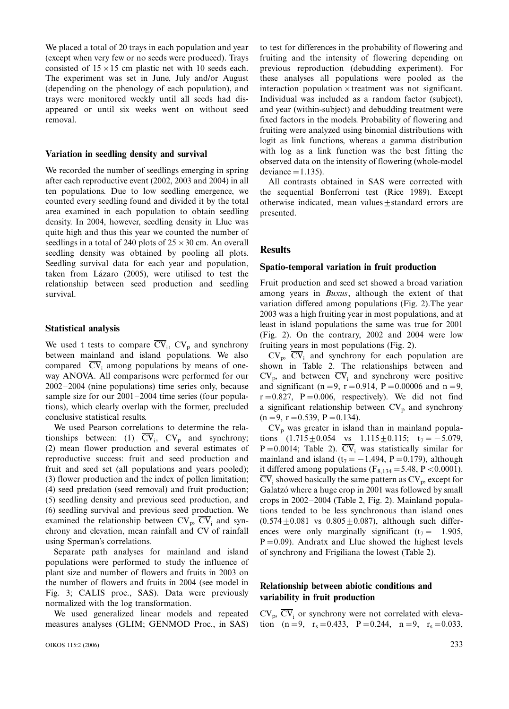We placed a total of 20 trays in each population and year (except when very few or no seeds were produced). Trays consisted of  $15 \times 15$  cm plastic net with 10 seeds each. The experiment was set in June, July and/or August (depending on the phenology of each population), and trays were monitored weekly until all seeds had disappeared or until six weeks went on without seed removal.

#### Variation in seedling density and survival

We recorded the number of seedlings emerging in spring after each reproductive event (2002, 2003 and 2004) in all ten populations. Due to low seedling emergence, we counted every seedling found and divided it by the total area examined in each population to obtain seedling density. In 2004, however, seedling density in Lluc was quite high and thus this year we counted the number of seedlings in a total of 240 plots of  $25 \times 30$  cm. An overall seedling density was obtained by pooling all plots. Seedling survival data for each year and population, taken from Lázaro (2005), were utilised to test the relationship between seed production and seedling survival.

#### Statistical analysis

We used t tests to compare  $CV_i$ ,  $CV_p$  and synchrony between mainland and island populations. We also compared  $\overline{CV}_i$  among populations by means of oneway ANOVA. All comparisons were performed for our  $2002-2004$  (nine populations) time series only, because sample size for our  $2001-2004$  time series (four populations), which clearly overlap with the former, precluded conclusive statistical results.

We used Pearson correlations to determine the relationships between: (1)  $CV_i$ ,  $CV_p$  and synchrony; (2) mean flower production and several estimates of reproductive success: fruit and seed production and fruit and seed set (all populations and years pooled); (3) flower production and the index of pollen limitation; (4) seed predation (seed removal) and fruit production; (5) seedling density and previous seed production, and (6) seedling survival and previous seed production. We examined the relationship between  $CV_p$ ,  $\overline{CV}_i$  and synchrony and elevation, mean rainfall and CV of rainfall using Sperman's correlations.

Separate path analyses for mainland and island populations were performed to study the influence of plant size and number of flowers and fruits in 2003 on the number of flowers and fruits in 2004 (see model in Fig. 3; CALIS proc., SAS). Data were previously normalized with the log transformation.

We used generalized linear models and repeated measures analyses (GLIM; GENMOD Proc., in SAS) to test for differences in the probability of flowering and fruiting and the intensity of flowering depending on previous reproduction (debudding experiment). For these analyses all populations were pooled as the interaction population  $\times$  treatment was not significant. Individual was included as a random factor (subject), and year (within-subject) and debudding treatment were fixed factors in the models. Probability of flowering and fruiting were analyzed using binomial distributions with logit as link functions, whereas a gamma distribution with log as a link function was the best fitting the observed data on the intensity of flowering (whole-model  $deviance = 1.135$ ).

All contrasts obtained in SAS were corrected with the sequential Bonferroni test (Rice 1989). Except otherwise indicated, mean values $\pm$ standard errors are presented.

#### Results

#### Spatio-temporal variation in fruit production

Fruit production and seed set showed a broad variation among years in Buxus, although the extent of that variation differed among populations (Fig. 2).The year 2003 was a high fruiting year in most populations, and at least in island populations the same was true for 2001 (Fig. 2). On the contrary, 2002 and 2004 were low fruiting years in most populations (Fig. 2).

 $CV_p$ ,  $\overline{CV}_i$  and synchrony for each population are shown in Table 2. The relationships between and  $CV_p$ , and between  $\overline{CV}_i$  and synchrony were positive and significant (n = 9, r = 0.914, P = 0.00006 and n = 9,  $r = 0.827$ ,  $P = 0.006$ , respectively). We did not find a significant relationship between  $CV_p$  and synchrony  $(n=9, r=0.539, P=0.134).$ 

 $CV<sub>p</sub>$  was greater in island than in mainland populations  $(1.715 \pm 0.054 \text{ vs } 1.115 \pm 0.115; t_7 = -5.079,$  $P = 0.0014$ ; Table 2).  $CV_i$  was statistically similar for mainland and island  $(t_7 = -1.494, P = 0.179)$ , although it differed among populations ( $F_{8,134} = 5.48$ ,  $P < 0.0001$ ).  $\overline{CV}_i$  showed basically the same pattern as  $CV_p$ , except for Galatzó where a huge crop in 2001 was followed by small crops in  $2002-2004$  (Table 2, Fig. 2). Mainland populations tended to be less synchronous than island ones  $(0.574 \pm 0.081$  vs  $0.805 \pm 0.087)$ , although such differences were only marginally significant  $(t_7 = -1.905,$  $P = 0.09$ ). Andratx and Lluc showed the highest levels of synchrony and Frigiliana the lowest (Table 2).

### Relationship between abiotic conditions and variability in fruit production

 $CV_p$ ,  $\overline{CV}_i$  or synchrony were not correlated with elevation  $(n=9, r_s=0.433, P=0.244, n=9, r_s=0.033,$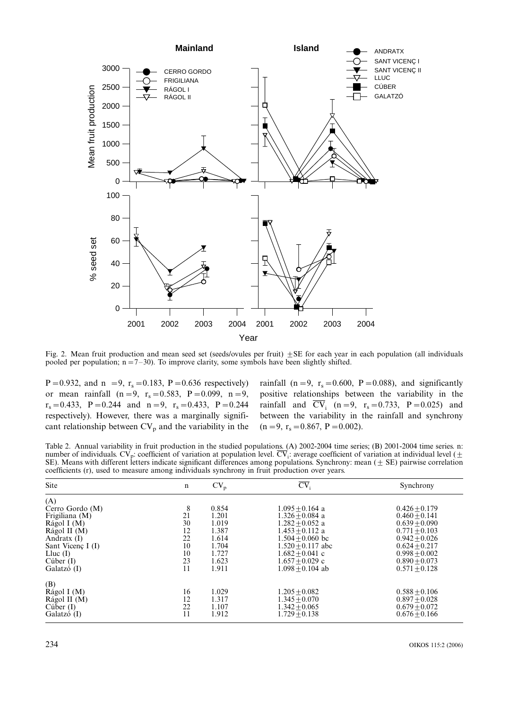

Fig. 2. Mean fruit production and mean seed set (seeds/ovules per fruit)  $\pm$ SE for each year in each population (all individuals pooled per population;  $n = 7-30$ . To improve clarity, some symbols have been slightly shifted.

 $P = 0.932$ , and  $n = 9$ ,  $r_s = 0.183$ ,  $P = 0.636$  respectively) or mean rainfall  $(n=9, r_s=0.583, P=0.099, n=9,$  $r_s = 0.433$ ,  $P = 0.244$  and  $n = 9$ ,  $r_s = 0.433$ ,  $P = 0.244$ respectively). However, there was a marginally significant relationship between  $CV_p$  and the variability in the

rainfall  $(n=9, r_s=0.600, P=0.088)$ , and significantly positive relationships between the variability in the rainfall and  $CV_i$  (n = 9, r<sub>s</sub> = 0.733, P = 0.025) and between the variability in the rainfall and synchrony  $(n=9, r_s=0.867, P=0.002).$ 

Table 2. Annual variability in fruit production in the studied populations. (A) 2002-2004 time series; (B) 2001-2004 time series. n: number of individuals. CV<sub>p</sub>: coefficient of variation at population level. CV<sub>i</sub>: average coefficient of variation at individual level ( $\pm$ SE). Means with different letters indicate significant differences among populations. Synchrony: mean  $(1)$  SE) pairwise correlation coefficients (r), used to measure among individuals synchrony in fruit production over years.

| Site                                                                                                                                          | n                                           | $CV_p$                                                               | CV <sub>i</sub>                                                                                                                                                         | Synchrony                                                                                                                                            |  |
|-----------------------------------------------------------------------------------------------------------------------------------------------|---------------------------------------------|----------------------------------------------------------------------|-------------------------------------------------------------------------------------------------------------------------------------------------------------------------|------------------------------------------------------------------------------------------------------------------------------------------------------|--|
| (A)<br>Cerro Gordo (M)<br>Frigiliana (M)<br>Rágol I (M)<br>Rágol II $(M)$<br>Andratx (I)<br>Sant Vicenc I (I)<br>$Lluc$ (I)<br>$C$ úber $(I)$ | 8<br>21<br>30<br>12<br>22<br>10<br>10<br>23 | 0.854<br>1.201<br>1.019<br>1.387<br>1.614<br>1.704<br>1.727<br>1.623 | $1.095 + 0.164$ a<br>$1.326 + 0.084$ a<br>$1.282 + 0.052$ a<br>$1.453 + 0.112$ a<br>$1.504 + 0.060$ bc<br>$1.520 + 0.117$ abc<br>$1.682 + 0.041$ c<br>$1.657 + 0.029$ c | $0.426 + 0.179$<br>$0.460 + 0.141$<br>$0.639 + 0.090$<br>$0.771 + 0.103$<br>$0.942 + 0.026$<br>$0.624 + 0.217$<br>$0.998 + 0.002$<br>$0.890 + 0.073$ |  |
| Galatzó (I)                                                                                                                                   | 11                                          | 1.911                                                                | $1.098 + 0.104$ ab                                                                                                                                                      | $0.571 + 0.128$                                                                                                                                      |  |
| (B)<br>Rágol I (M)<br>Rágol II $(M)$<br>Cúber(I)<br>Galatzó (I)                                                                               | 16<br>12<br>22<br>11                        | 1.029<br>1.317<br>1.107<br>1.912                                     | $1.205 + 0.082$<br>$1.345 + 0.070$<br>$1.342 + 0.065$<br>$1.729 + 0.138$                                                                                                | $0.588 + 0.106$<br>$0.897 + 0.028$<br>$0.679 \pm 0.072$<br>$0.676 + 0.166$                                                                           |  |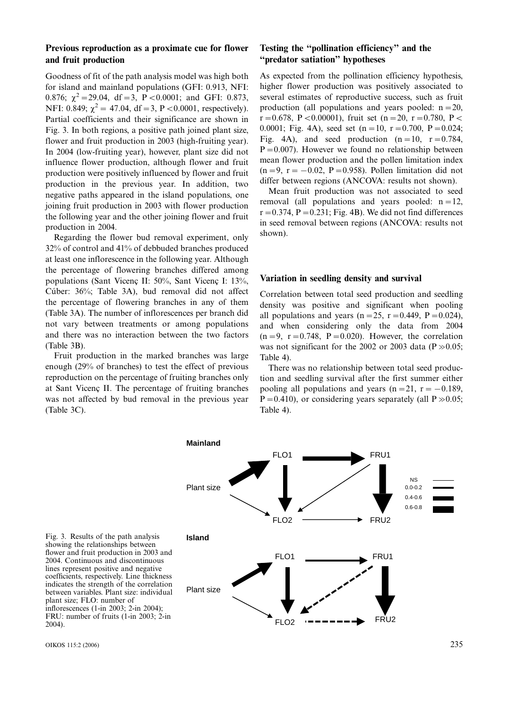### Previous reproduction as a proximate cue for flower and fruit production

Goodness of fit of the path analysis model was high both for island and mainland populations (GFI: 0.913, NFI: 0.876;  $\chi^2 = 29.04$ , df = 3, P < 0.0001; and GFI: 0.873, NFI: 0.849;  $\chi^2 = 47.04$ , df = 3, P < 0.0001, respectively). Partial coefficients and their significance are shown in Fig. 3. In both regions, a positive path joined plant size, flower and fruit production in 2003 (high-fruiting year). In 2004 (low-fruiting year), however, plant size did not influence flower production, although flower and fruit production were positively influenced by flower and fruit production in the previous year. In addition, two negative paths appeared in the island populations, one joining fruit production in 2003 with flower production the following year and the other joining flower and fruit production in 2004.

Regarding the flower bud removal experiment, only 32% of control and 41% of debbuded branches produced at least one inflorescence in the following year. Although the percentage of flowering branches differed among populations (Sant Vicenc II: 50%, Sant Vicenc I: 13%, Cu´ber: 36%; Table 3A), bud removal did not affect the percentage of flowering branches in any of them (Table 3A). The number of inflorescences per branch did not vary between treatments or among populations and there was no interaction between the two factors (Table 3B).

Fruit production in the marked branches was large enough (29% of branches) to test the effect of previous reproduction on the percentage of fruiting branches only at Sant Vicenç II. The percentage of fruiting branches was not affected by bud removal in the previous year (Table 3C).

# Testing the ''pollination efficiency'' and the ''predator satiation'' hypotheses

As expected from the pollination efficiency hypothesis, higher flower production was positively associated to several estimates of reproductive success, such as fruit production (all populations and years pooled:  $n = 20$ ,  $r = 0.678$ , P < 0.00001), fruit set (n = 20, r = 0.780, P < 0.0001; Fig. 4A), seed set  $(n=10, r=0.700, P=0.024;$ Fig. 4A), and seed production  $(n=10, r=0.784,$  $P = 0.007$ ). However we found no relationship between mean flower production and the pollen limitation index  $(n=9, r=-0.02, P=0.958)$ . Pollen limitation did not differ between regions (ANCOVA: results not shown).

Mean fruit production was not associated to seed removal (all populations and years pooled:  $n = 12$ ,  $r = 0.374$ ,  $P = 0.231$ ; Fig. 4B). We did not find differences in seed removal between regions (ANCOVA: results not shown).

### Variation in seedling density and survival

Correlation between total seed production and seedling density was positive and significant when pooling all populations and years  $(n = 25, r = 0.449, P = 0.024)$ , and when considering only the data from 2004  $(n=9, r=0.748, P=0.020)$ . However, the correlation was not significant for the 2002 or 2003 data ( $P \gg 0.05$ ; Table 4).

There was no relationship between total seed production and seedling survival after the first summer either pooling all populations and years  $(n=21, r=-0.189,$  $P = 0.410$ ), or considering years separately (all  $P \gg 0.05$ ; Table 4).



Fig. 3. Results of the path analysis showing the relationships between flower and fruit production in 2003 and 2004. Continuous and discontinuous lines represent positive and negative coefficients, respectively. Line thickness indicates the strength of the correlation between variables. Plant size: individual plant size; FLO: number of inflorescences (1-in 2003; 2-in 2004); FRU: number of fruits (1-in 2003; 2-in 2004).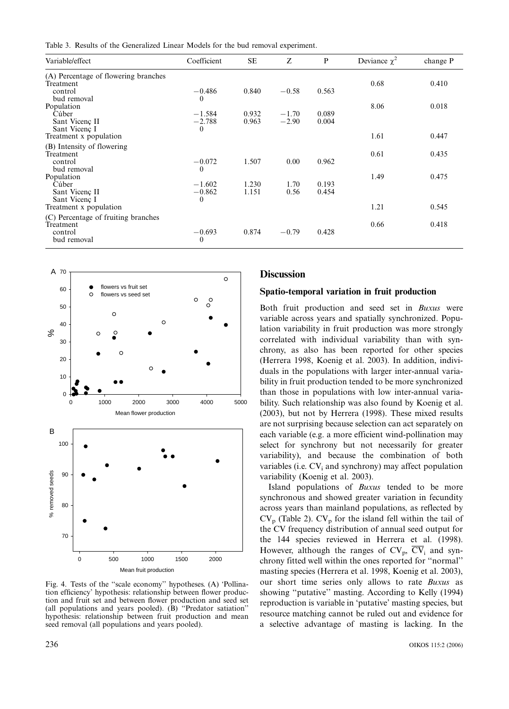Table 3. Results of the Generalized Linear Models for the bud removal experiment.

| Variable/effect                      | Coefficient  | SE    | Z       | P     | Deviance $\chi^2$ | change P |
|--------------------------------------|--------------|-------|---------|-------|-------------------|----------|
| (A) Percentage of flowering branches |              |       |         |       |                   |          |
| Treatment                            |              |       |         |       | 0.68              | 0.410    |
| control                              | $-0.486$     | 0.840 | $-0.58$ | 0.563 |                   |          |
| bud removal                          | $\theta$     |       |         |       |                   |          |
| Population                           |              |       |         |       | 8.06              | 0.018    |
| Cúber                                | $-1.584$     | 0.932 | $-1.70$ | 0.089 |                   |          |
| Sant Vicenç II                       | $-2.788$     | 0.963 | $-2.90$ | 0.004 |                   |          |
| Sant Vicenç I                        | $\theta$     |       |         |       |                   |          |
| Treatment x population               |              |       |         |       | 1.61              | 0.447    |
| (B) Intensity of flowering           |              |       |         |       |                   |          |
| Treatment                            |              |       |         |       | 0.61              | 0.435    |
| control                              | $-0.072$     | 1.507 | 0.00    | 0.962 |                   |          |
| bud removal                          | $\mathbf{0}$ |       |         |       |                   |          |
| Population                           |              |       |         |       | 1.49              | 0.475    |
| Cúber                                | $-1.602$     | 1.230 | 1.70    | 0.193 |                   |          |
| Sant Vicenç II                       | $-0.862$     | 1.151 | 0.56    | 0.454 |                   |          |
| Sant Vicenç I                        | $\theta$     |       |         |       |                   |          |
| Treatment x population               |              |       |         |       | 1.21              | 0.545    |
| (C) Percentage of fruiting branches  |              |       |         |       |                   |          |
| Treatment                            |              |       |         |       | 0.66              | 0.418    |
| control                              | $-0.693$     | 0.874 | $-0.79$ | 0.428 |                   |          |
| bud removal                          | $\theta$     |       |         |       |                   |          |
|                                      |              |       |         |       |                   |          |



Mean fruit production

Fig. 4. Tests of the ''scale economy'' hypotheses. (A) 'Pollination efficiency' hypothesis: relationship between flower production and fruit set and between flower production and seed set (all populations and years pooled). (B) ''Predator satiation'' hypothesis: relationship between fruit production and mean seed removal (all populations and years pooled).

# **Discussion**

#### Spatio-temporal variation in fruit production

Both fruit production and seed set in Buxus were variable across years and spatially synchronized. Population variability in fruit production was more strongly correlated with individual variability than with synchrony, as also has been reported for other species (Herrera 1998, Koenig et al. 2003). In addition, individuals in the populations with larger inter-annual variability in fruit production tended to be more synchronized than those in populations with low inter-annual variability. Such relationship was also found by Koenig et al. (2003), but not by Herrera (1998). These mixed results are not surprising because selection can act separately on each variable (e.g. a more efficient wind-pollination may select for synchrony but not necessarily for greater variability), and because the combination of both variables (i.e.  $CV_i$  and synchrony) may affect population variability (Koenig et al. 2003).

Island populations of Buxus tended to be more synchronous and showed greater variation in fecundity across years than mainland populations, as reflected by  $CV_p$  (Table 2).  $CV_p$  for the island fell within the tail of the CV frequency distribution of annual seed output for the 144 species reviewed in Herrera et al. (1998). However, although the ranges of  $CV_p$ ,  $\overline{CV}_i$  and synchrony fitted well within the ones reported for ''normal'' masting species (Herrera et al. 1998, Koenig et al. 2003), our short time series only allows to rate Buxus as showing ''putative'' masting. According to Kelly (1994) reproduction is variable in 'putative' masting species, but resource matching cannot be ruled out and evidence for a selective advantage of masting is lacking. In the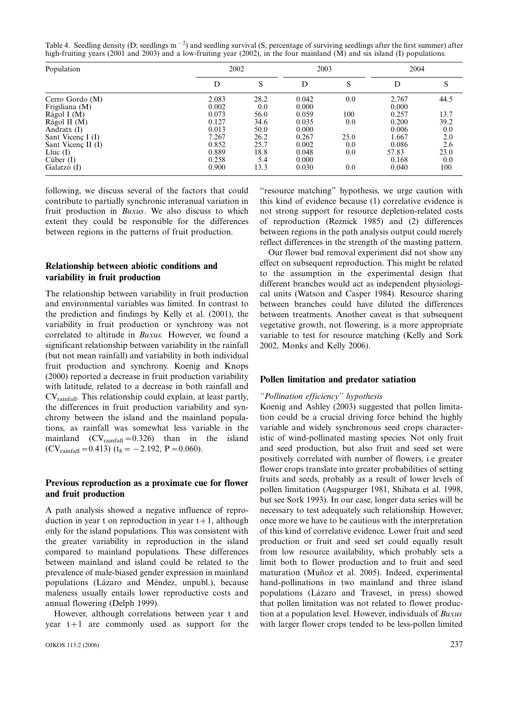Table 4. Seedling density (D; seedlings  $m^{-2}$ ) and seedling survival (S; percentage of surviving seedlings after the first summer) after high-fruiting years (2001 and 2003) and a low-fruiting year (2002), in the four mainland (M) and six island (I) populations.

| Population         | 2002  |      | 2003  |      | 2004  |      |
|--------------------|-------|------|-------|------|-------|------|
|                    | D     | S    | D     | S    | D     | S    |
| Cerro Gordo (M)    | 2.083 | 28.2 | 0.042 | 0.0  | 2.767 | 44.5 |
| Frigiliana (M)     | 0.002 | 0.0  | 0.000 |      | 0.000 |      |
| Rágol I (M)        | 0.073 | 56.0 | 0.059 | 100  | 0.257 | 13.7 |
| Rágol II (M)       | 0.127 | 34.6 | 0.035 | 0.0  | 0.200 | 39.2 |
| Andratx $(I)$      | 0.013 | 50.0 | 0.000 |      | 0.006 | 0.0  |
| Sant Vicenç I (I)  | 7.267 | 26.2 | 0.267 | 25.0 | 1.667 | 2.0  |
| Sant Vicenç II (I) | 0.852 | 25.7 | 0.002 | 0.0  | 0.086 | 2.6  |
| Lluc $(I)$         | 0.889 | 18.8 | 0.048 | 0.0  | 57.83 | 23.0 |
| $C$ úber $(I)$     | 0.258 | 5.4  | 0.000 |      | 0.168 | 0.0  |
| Galatzó (I)        | 0.900 | 13.3 | 0.030 | 0.0  | 0.040 | 100  |

following, we discuss several of the factors that could contribute to partially synchronic interanual variation in fruit production in Buxus. We also discuss to which extent they could be responsible for the differences between regions in the patterns of fruit production.

### Relationship between abiotic conditions and variability in fruit production

The relationship between variability in fruit production and environmental variables was limited. In contrast to the prediction and findings by Kelly et al. (2001), the variability in fruit production or synchrony was not correlated to altitude in Buxus. However, we found a significant relationship between variability in the rainfall (but not mean rainfall) and variability in both individual fruit production and synchrony. Koenig and Knops (2000) reported a decrease in fruit production variability with latitude, related to a decrease in both rainfall and  $CV_{\text{rainfall}}$ . This relationship could explain, at least partly, the differences in fruit production variability and synchrony between the island and the mainland populations, as rainfall was somewhat less variable in the mainland  $(CV_{\text{rainfall}} = 0.326)$  than in the island  $(CV_{\text{rainfall}} = 0.413)$  (t<sub>8</sub> = -2.192, P = 0.060).

# Previous reproduction as a proximate cue for flower and fruit production

A path analysis showed a negative influence of reproduction in year t on reproduction in year  $t+1$ , although only for the island populations. This was consistent with the greater variability in reproduction in the island compared to mainland populations. These differences between mainland and island could be related to the prevalence of male-biased gender expression in mainland populations (Lázaro and Méndez, unpubl.), because maleness usually entails lower reproductive costs and annual flowering (Delph 1999).

However, although correlations between year t and year  $t+1$  are commonly used as support for the "resource matching" hypothesis, we urge caution with this kind of evidence because (1) correlative evidence is not strong support for resource depletion-related costs of reproduction (Reznick 1985) and (2) differences between regions in the path analysis output could merely reflect differences in the strength of the masting pattern.

Our flower bud removal experiment did not show any effect on subsequent reproduction. This might be related to the assumption in the experimental design that different branches would act as independent physiological units (Watson and Casper 1984). Resource sharing between branches could have diluted the differences between treatments. Another caveat is that subsequent vegetative growth, not flowering, is a more appropriate variable to test for resource matching (Kelly and Sork 2002, Monks and Kelly 2006).

### Pollen limitation and predator satiation

# ''Pollination efficiency'' hypothesis

Koenig and Ashley (2003) suggested that pollen limitation could be a crucial driving force behind the highly variable and widely synchronous seed crops characteristic of wind-pollinated masting species. Not only fruit and seed production, but also fruit and seed set were positively correlated with number of flowers, i.e greater flower crops translate into greater probabilities of setting fruits and seeds, probably as a result of lower levels of pollen limitation (Augspurger 1981, Shibata et al. 1998, but see Sork 1993). In our case, longer data series will be necessary to test adequately such relationship. However, once more we have to be cautious with the interpretation of this kind of correlative evidence. Lower fruit and seed production or fruit and seed set could equally result from low resource availability, which probably sets a limit both to flower production and to fruit and seed maturation (Muñoz et al. 2005). Indeed, experimental hand-pollinations in two mainland and three island populations (Lázaro and Traveset, in press) showed that pollen limitation was not related to flower production at a population level. However, individuals of Buxus with larger flower crops tended to be less-pollen limited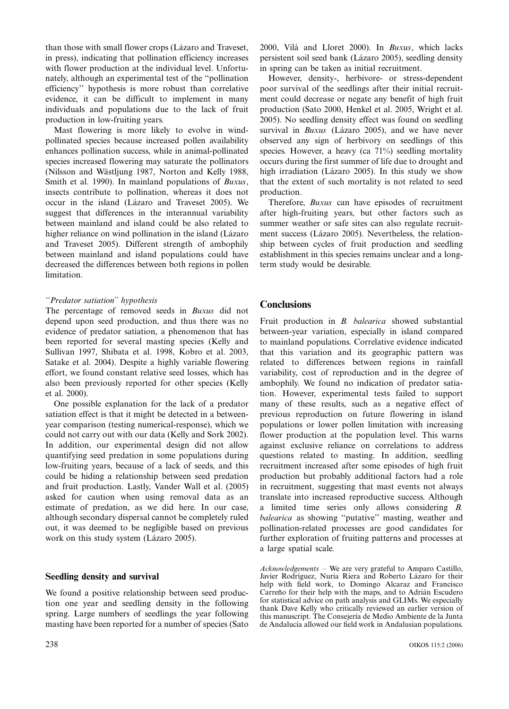than those with small flower crops (Lázaro and Traveset, in press), indicating that pollination efficiency increases with flower production at the individual level. Unfortunately, although an experimental test of the ''pollination efficiency'' hypothesis is more robust than correlative evidence, it can be difficult to implement in many individuals and populations due to the lack of fruit production in low-fruiting years.

Mast flowering is more likely to evolve in windpollinated species because increased pollen availability enhances pollination success, while in animal-pollinated species increased flowering may saturate the pollinators (Nilsson and Wästliung 1987, Norton and Kelly 1988, Smith et al. 1990). In mainland populations of Buxus, insects contribute to pollination, whereas it does not occur in the island (Lázaro and Traveset 2005). We suggest that differences in the interannual variability between mainland and island could be also related to higher reliance on wind pollination in the island (Lázaro and Traveset 2005). Different strength of ambophily between mainland and island populations could have decreased the differences between both regions in pollen limitation.

#### ''Predator satiation'' hypothesis

The percentage of removed seeds in Buxus did not depend upon seed production, and thus there was no evidence of predator satiation, a phenomenon that has been reported for several masting species (Kelly and Sullivan 1997, Shibata et al. 1998, Kobro et al. 2003, Satake et al. 2004). Despite a highly variable flowering effort, we found constant relative seed losses, which has also been previously reported for other species (Kelly et al. 2000).

One possible explanation for the lack of a predator satiation effect is that it might be detected in a betweenyear comparison (testing numerical-response), which we could not carry out with our data (Kelly and Sork 2002). In addition, our experimental design did not allow quantifying seed predation in some populations during low-fruiting years, because of a lack of seeds, and this could be hiding a relationship between seed predation and fruit production. Lastly, Vander Wall et al. (2005) asked for caution when using removal data as an estimate of predation, as we did here. In our case, although secondary dispersal cannot be completely ruled out, it was deemed to be negligible based on previous work on this study system (Lázaro 2005).

### Seedling density and survival

We found a positive relationship between seed production one year and seedling density in the following spring. Large numbers of seedlings the year following masting have been reported for a number of species (Sato

2000, Vila` and Lloret 2000). In Buxus, which lacks persistent soil seed bank (Lázaro 2005), seedling density in spring can be taken as initial recruitment.

However, density-, herbivore- or stress-dependent poor survival of the seedlings after their initial recruitment could decrease or negate any benefit of high fruit production (Sato 2000, Henkel et al. 2005, Wright et al. 2005). No seedling density effect was found on seedling survival in  $Buxus$  (Lázaro 2005), and we have never observed any sign of herbivory on seedlings of this species. However, a heavy (ca 71%) seedling mortality occurs during the first summer of life due to drought and high irradiation (Lázaro 2005). In this study we show that the extent of such mortality is not related to seed production.

Therefore, Buxus can have episodes of recruitment after high-fruiting years, but other factors such as summer weather or safe sites can also regulate recruitment success (Lázaro 2005). Nevertheless, the relationship between cycles of fruit production and seedling establishment in this species remains unclear and a longterm study would be desirable.

### **Conclusions**

Fruit production in B. balearica showed substantial between-year variation, especially in island compared to mainland populations. Correlative evidence indicated that this variation and its geographic pattern was related to differences between regions in rainfall variability, cost of reproduction and in the degree of ambophily. We found no indication of predator satiation. However, experimental tests failed to support many of these results, such as a negative effect of previous reproduction on future flowering in island populations or lower pollen limitation with increasing flower production at the population level. This warns against exclusive reliance on correlations to address questions related to masting. In addition, seedling recruitment increased after some episodes of high fruit production but probably additional factors had a role in recruitment, suggesting that mast events not always translate into increased reproductive success. Although a limited time series only allows considering B. balearica as showing ''putative'' masting, weather and pollination-related processes are good candidates for further exploration of fruiting patterns and processes at a large spatial scale.

 $Acknowledgements$  – We are very grateful to Amparo Castillo, Javier Rodríguez, Nuria Riera and Roberto Lázaro for their help with field work, to Domingo Alcaraz and Francisco Carreño for their help with the maps, and to Adrián Escudero for statistical advice on path analysis and GLIMs. We especially thank Dave Kelly who critically reviewed an earlier version of this manuscript. The Consejería de Medio Ambiente de la Junta de Andalucía allowed our field work in Andalusian populations.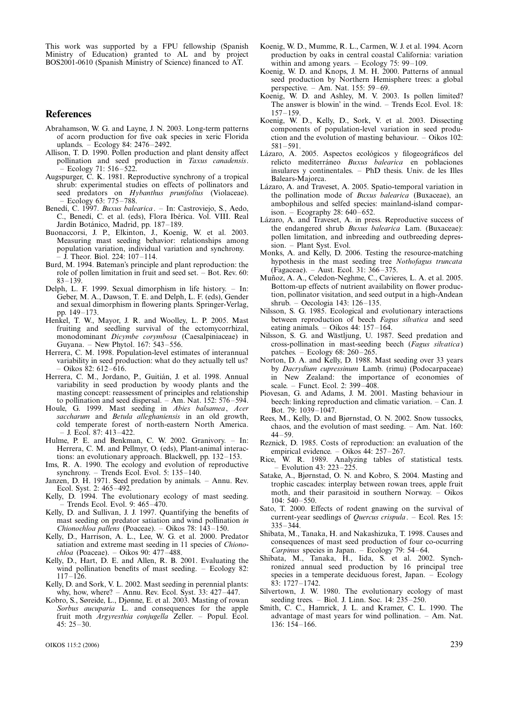This work was supported by a FPU fellowship (Spanish Ministry of Education) granted to AL and by project BOS2001-0610 (Spanish Ministry of Science) financed to AT.

### References

- Abrahamson, W. G. and Layne, J. N. 2003. Long-term patterns of acorn production for five oak species in xeric Florida uplands.  $-$  Ecology 84: 2476–2492.
- Allison, T. D. 1990. Pollen production and plant density affect pollination and seed production in Taxus canadensis. Ecology 71:  $516 - 522$
- Augspurger, C. K. 1981. Reproductive synchrony of a tropical shrub: experimental studies on effects of pollinators and seed predators on Hybanthus prunifolius (Violaceae).  $-$  Ecology 63: 775–788.
- Benedí, C. 1997. Buxus balearica. In: Castroviejo, S., Aedo, C., Benedí, C. et al. (eds), Flora Ibérica. Vol. VIII. Real Jardín Botánico, Madrid, pp. 187-189.
- Buonaccorsi, J. P., Elkinton, J., Koenig, W. et al. 2003. Measuring mast seeding behavior: relationships among population variation, individual variation and synchrony. J. Theor. Biol. 224: 107-114.
- Burd, M. 1994. Bateman's principle and plant reproduction: the role of pollen limitation in fruit and seed set.  $-$  Bot. Rev. 60:  $83 - 139$ .
- Delph, L. F. 1999. Sexual dimorphism in life history. In: Geber, M. A., Dawson, T. E. and Delph, L. F. (eds), Gender and sexual dimorphism in flowering plants. Springer-Verlag, pp. 149-173.
- Henkel, T. W., Mayor, J. R. and Woolley, L. P. 2005. Mast fruiting and seedling survival of the ectomycorrhizal, monodominant Dicymbe corymbosa (Caesalpiniaceae) in Guyana. - New Phytol. 167: 543-556.
- Herrera, C. M. 1998. Population-level estimates of interannual variability in seed production: what do they actually tell us?  $-$  Oikos 82: 612 $-$ 616.
- Herrera, C. M., Jordano, P., Guitián, J. et al. 1998. Annual variability in seed production by woody plants and the masting concept: reassessment of principles and relationship to pollination and seed dispersal.  $-$  Am. Nat. 152: 576–594.
- Houle, G. 1999. Mast seeding in Abies balsamea, Acer saccharum and Betula alleghaniensis in an old growth, cold temperate forest of north-eastern North America. – J. Ecol. 87: 413–422.
- Hulme, P. E. and Benkman, C. W. 2002. Granivory. In: Herrera, C. M. and Pellmyr, O. (eds), Plant-animal interactions: an evolutionary approach. Blackwell, pp.  $132-153$ .
- Ims, R. A. 1990. The ecology and evolution of reproductive synchrony.  $-$  Trends Ecol. Evol. 5: 135–140.
- Janzen, D. H. 1971. Seed predation by animals. Annu. Rev. Ecol. Syst. 2: 465-492.
- Kelly, D. 1994. The evolutionary ecology of mast seeding. Trends Ecol. Evol. 9: 465-470.
- Kelly, D. and Sullivan, J. J. 1997. Quantifying the benefits of mast seeding on predator satiation and wind pollination in Chionochloa pallens (Poaceae). - Oikos 78: 143-150.
- Kelly, D., Harrison, A. L., Lee, W. G. et al. 2000. Predator satiation and extreme mast seeding in 11 species of Chiono $chloa$  (Poaceae). - Oikos 90: 477-488.
- Kelly, D., Hart, D. E. and Allen, R. B. 2001. Evaluating the wind pollination benefits of mast seeding. - Ecology 82:  $117 - 126$ .
- Kelly, D. and Sork, V. L. 2002. Mast seeding in perennial plants: why, how, where? - Annu. Rev. Ecol. Syst. 33: 427-447.
- Kobro, S., Søreide, L., Djønne, E. et al. 2003. Masting of rowan Sorbus aucuparia L. and consequences for the apple fruit moth  $Argy$ resthia conjugella Zeller. – Popul. Ecol. 45: 25-30.
- Koenig, W. D., Mumme, R. L., Carmen, W. J. et al. 1994. Acorn production by oaks in central coastal California: variation within and among years.  $-$  Ecology 75: 99-109.
- Koenig, W. D. and Knops, J. M. H. 2000. Patterns of annual seed production by Northern Hemisphere trees: a global perspective.  $-$  Am. Nat. 155: 59 $-69$ .
- Koenig, W. D. and Ashley, M. V. 2003. Is pollen limited? The answer is blowin' in the wind. – Trends Ecol. Evol. 18:  $157 - 159.$
- Koenig, W. D., Kelly, D., Sork, V. et al. 2003. Dissecting components of population-level variation in seed production and the evolution of masting behaviour. Oikos 102:  $581 - 591.$
- Lázaro, A. 2005. Aspectos ecológicos y filogeográficos del relicto mediterráneo Buxus balearica en poblaciones insulares y continentales. PhD thesis. Univ. de les Illes Balears-Majorca.
- Lázaro, A. and Traveset, A. 2005. Spatio-temporal variation in the pollination mode of Buxus balearica (Buxaceae), an ambophilous and selfed species: mainland-island comparison. – Ecography 28:  $640-652$ .
- Lázaro, A. and Traveset, A. in press. Reproductive success of the endangered shrub Buxus balearica Lam. (Buxaceae): pollen limitation, and inbreeding and outbreeding depression. - Plant Syst. Evol.
- Monks, A. and Kelly, D. 2006. Testing the resource-matching hypothesis in the mast seeding tree Nothofagus truncata (Fagaceae).  $-$  Aust. Ecol. 31:  $366-375$ .
- Muñoz, A. A., Celedon-Neghme, C., Cavieres, L. A. et al. 2005. Bottom-up effects of nutrient availability on flower production, pollinator visitation, and seed output in a high-Andean shrub. - Oecologia 143:  $126-135$ .
- Nilsson, S. G. 1985. Ecological and evolutionary interactions between reproduction of beech Fagus silvatica and seed eating animals.  $-$  Oikos 44: 157 $-$ 164.
- Nilsson, S. G. and Wästljung, U. 1987. Seed predation and cross-pollination in mast-seeding beech (Fagus silvatica) patches.  $-$  Ecology 68: 260 $-265$ .
- Norton, D. A. and Kelly, D. 1988. Mast seeding over 33 years by Dacrydium cupressinum Lamb. (rimu) (Podocarpaceae) in New Zealand: the importance of economies of scale. – Funct. Ecol. 2:  $399 - 408$ .
- Piovesan, G. and Adams, J. M. 2001. Masting behaviour in beech: linking reproduction and climatic variation. – Can. J. Bot. 79: 1039-1047.
- Rees, M., Kelly, D. and Bjørnstad, O. N. 2002. Snow tussocks, chaos, and the evolution of mast seeding.  $-$  Am. Nat. 160:  $44 - 59$
- Reznick, D. 1985. Costs of reproduction: an evaluation of the empirical evidence.  $-$  Oikos 44: 257 $-$ 267.
- Rice, W. R. 1989. Analyzing tables of statistical tests. - Evolution 43: 223-225.
- Satake, A., Bjørnstad, O. N. and Kobro, S. 2004. Masting and trophic cascades: interplay between rowan trees, apple fruit moth, and their parasitoid in southern Norway. – Oikos 104: 540-550.
- Sato, T. 2000. Effects of rodent gnawing on the survival of current-year seedlings of *Quercus crispula*. - Ecol. Res. 15: 335344.
- Shibata, M., Tanaka, H. and Nakashizuka, T. 1998. Causes and consequences of mast seed production of four co-ocurring Carpinus species in Japan.  $-$  Ecology 79: 54-64.
- Shibata, M., Tanaka, H., Iida, S. et al. 2002. Synchronized annual seed production by 16 principal tree species in a temperate deciduous forest, Japan. - Ecology  $83: 1727 - 1742.$
- Silvertown, J. W. 1980. The evolutionary ecology of mast seeding trees.  $-$  Biol. J. Linn. Soc. 14: 235 $-250$ .
- Smith, C. C., Hamrick, J. L. and Kramer, C. L. 1990. The advantage of mast years for wind pollination. Am. Nat. 136: 154-166.